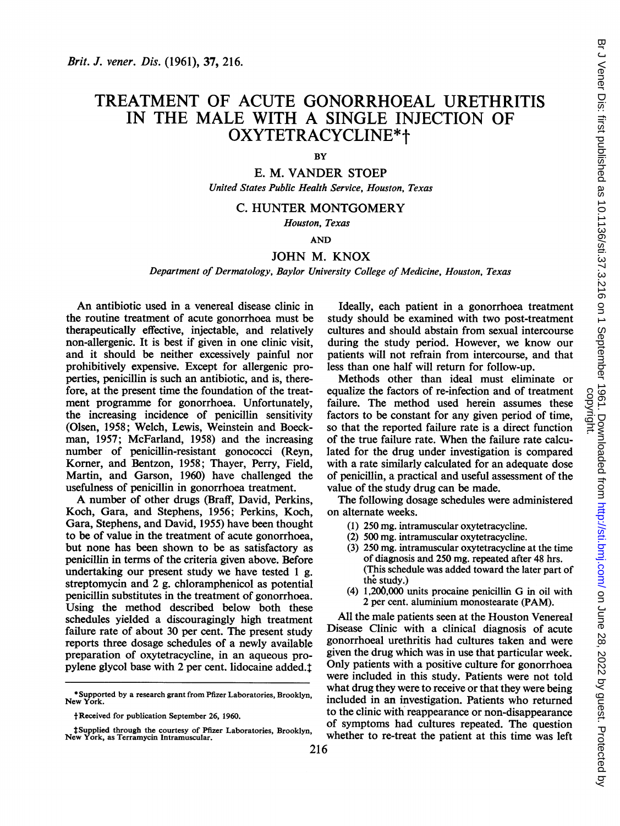# TREATMENT OF ACUTE GONORRHOEAL URETHRITIS IN THE MALE WITH A SINGLE INJECTION OF OXYTETRACYCLINE\*t

## **BY**

E. M. VANDER STOEP United States Public Health Service, Houston, Texas

## C. HUNTER MONTGOMERY

Houston, Texas

## AND

## JOHN M. KNOX

## Department of Dermatology, Baylor University College of Medicine, Houston, Texas

An antibiotic used in a venereal disease clinic in the routine treatment of acute gonorrhoea must be therapeutically effective, injectable, and relatively non-allergenic. It is best if given in one clinic visit, and it should be neither excessively painful nor prohibitively expensive. Except for allergenic properties, penicillin is such an antibiotic, and is, therefore, at the present time the foundation of the treatment programme for gonorrhoea. Unfortunately, the increasing incidence of penicillin sensitivity (Olsen, 1958; Welch, Lewis, Weinstein and Boeckman, 1957; McFarland, 1958) and the increasing number of penicillin-resistant gonococci (Reyn, Korner, and Bentzon, 1958; Thayer, Perry, Field, Martin, and Garson, 1960) have challenged the usefulness of penicillin in gonorrhoea treatment.

A number of other drugs (Braff, David, Perkins, Koch, Gara, and Stephens, 1956; Perkins, Koch, Gara, Stephens, and David, 1955) have been thought to be of value in the treatment of acute gonorrhoea, but none has been shown to be as satisfactory as penicillin in terms of the criteria given above. Before undertaking our present study we have tested <sup>1</sup> g. streptomycin and 2 g. chloramphenicol as potential penicillin substitutes in the treatment of gonorrhoea. Using the method described below both these schedules yielded a discouragingly high treatment failure rate of about 30 per cent. The present study reports three dosage schedules of a newly available preparation of oxytetracycline, in an aqueous propylene glycol base with 2 per cent. lidocaine added.<sup>1</sup>

Ideally, each patient in a gonorrhoea treatment study should be examined with two post-treatment cultures and should abstain from sexual intercourse during the study period. However, we know our patients will not refrain from intercourse, and that less than one half will return for follow-up.

Methods other than ideal must eliminate or equalize the factors of re-infection and of treatment failure. The method used herein assumes these factors to be constant for any given period of time, so that the reported failure rate is a direct function of the true failure rate. When the failure rate calculated for the drug under investigation is compared with a rate similarly calculated for an adequate dose of penicillin, a practical and useful assessment of the value of the study drug can be made.

The following dosage schedules were administered on alternate weeks.

- (1) 250 mg. intramuscular oxytetracycline.
- (2) 500 mg. intramuscular oxytetracycline.
- (3) 250 mg. intramuscular oxytetracycline at the time of diagnosis and 250 mg. repeated after 48 hrs. (This schedule was added toward the later part of the study.)
- (4) 1,200,000 units procaine penicillin G in oil with 2 per cent. aluminium monostearate (PAM).

All the male patients seen at the Houston Venereal Disease Clinic with a clinical diagnosis of acute gonorrhoeal urethritis had cultures taken and were given the drug which was in use that particular week. Only patients with a positive culture for gonorrhoea were included in this study. Patients were not told what drug they were to receive or that they were being included in an investigation. Patients who returned to the clinic with reappearance or non-disappearance of symptoms had cultures repeated. The question whether to re-treat the patient at this time was left

<sup>\*</sup> Supported by a research grant from Pfizer Laboratories, Brooklyn, New York.

f Received for publication September 26, 1960.

<sup>t</sup> Supplied through the courtesy of Pfizer Laboratories, Brooklyn, New York, as Terramycin Intramuscular.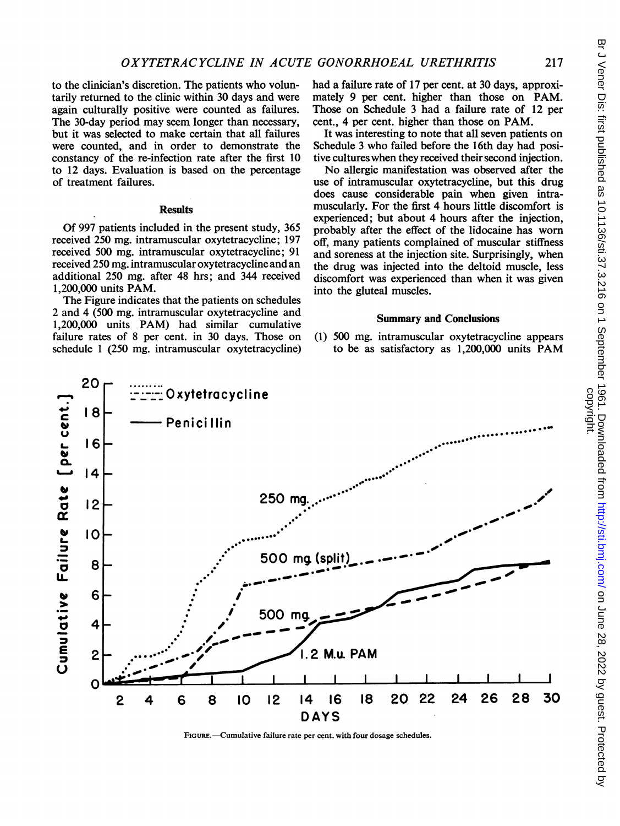to the clinician's discretion. The patients who voluntarily returned to the clinic within 30 days and were again culturally positive were counted as failures. The 30-day period may seem longer than necessary, but it was selected to make certain that all failures were counted, and in order to demonstrate the constancy of the re-infection rate after the first 10 to 12 days. Evaluation is based on the percentage of treatment failures.

### **Results**

Of 997 patients included in the present study, 365 received 250 mg. intramuscular oxytetracycline; 197 received 500 mg. intramuscular oxytetracycline; 91 received 250 mg. intramuscular oxytetracycline and an additional 250 mg. after 48 hrs; and 344 received 1,200,000 units PAM.

The Figure indicates that the patients on schedules <sup>2</sup> and 4 (500 mg. intramuscular oxytetracycline and 1,200,000 units PAM) had similar cumulative failure rates of 8 per cent. in 30 days. Those on schedule <sup>1</sup> (250 mg. intramuscular oxytetracycline) had a failure rate of 17 per cent. at 30 days, approximately 9 per cent. higher than those on PAM. Those on Schedule 3 had a failure rate of 12 per cent., 4 per cent. higher than those on PAM.

It was interesting to note that all seven patients on Schedule <sup>3</sup> who failed before the 16th day had positive cultures when they received their second injection.

No allergic manifestation was observed after the use of intramuscular oxytetracycline, but this drug does cause considerable pain when given intramuscularly. For the first 4 hours little discomfort is experienced; but about 4 hours after the injection, probably after the effect of the lidocaine has worn off, many patients complained of muscular stiffness and soreness at the injection site. Surprisingly, when the drug was injected into the deltoid muscle, less discomfort was experienced than when it was given into the gluteal muscles.

#### Sunmmary and Conclusions

(1) 500 mg. intramuscular oxytetracycline appears to be as satisfactory as 1,200,000 units PAM



FIGURE.-Cumulative failure rate per cent. with four dosage schedules.